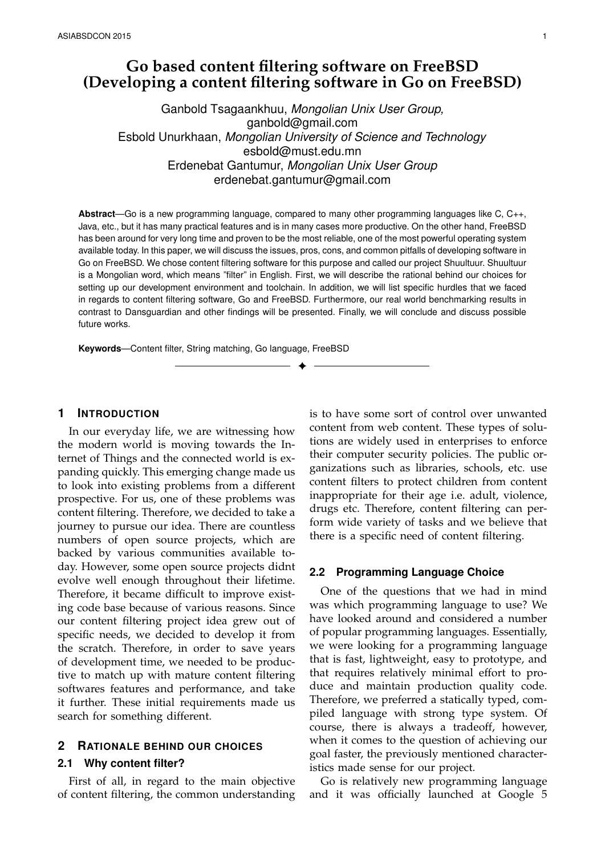# **Go based content filtering software on FreeBSD (Developing a content filtering software in Go on FreeBSD)**

Ganbold Tsagaankhuu, *Mongolian Unix User Group,* ganbold@gmail.com Esbold Unurkhaan, *Mongolian University of Science and Technology* esbold@must.edu.mn Erdenebat Gantumur, *Mongolian Unix User Group* erdenebat.gantumur@gmail.com

**Abstract**—Go is a new programming language, compared to many other programming languages like C, C++, Java, etc., but it has many practical features and is in many cases more productive. On the other hand, FreeBSD has been around for very long time and proven to be the most reliable, one of the most powerful operating system available today. In this paper, we will discuss the issues, pros, cons, and common pitfalls of developing software in Go on FreeBSD. We chose content filtering software for this purpose and called our project Shuultuur. Shuultuur is a Mongolian word, which means "filter" in English. First, we will describe the rational behind our choices for setting up our development environment and toolchain. In addition, we will list specific hurdles that we faced in regards to content filtering software, Go and FreeBSD. Furthermore, our real world benchmarking results in contrast to Dansguardian and other findings will be presented. Finally, we will conclude and discuss possible future works.

✦

**Keywords**—Content filter, String matching, Go language, FreeBSD

### **1 INTRODUCTION**

In our everyday life, we are witnessing how the modern world is moving towards the Internet of Things and the connected world is expanding quickly. This emerging change made us to look into existing problems from a different prospective. For us, one of these problems was content filtering. Therefore, we decided to take a journey to pursue our idea. There are countless numbers of open source projects, which are backed by various communities available today. However, some open source projects didnt evolve well enough throughout their lifetime. Therefore, it became difficult to improve existing code base because of various reasons. Since our content filtering project idea grew out of specific needs, we decided to develop it from the scratch. Therefore, in order to save years of development time, we needed to be productive to match up with mature content filtering softwares features and performance, and take it further. These initial requirements made us search for something different.

### **2 RATIONALE BEHIND OUR CHOICES**

#### **2.1 Why content filter?**

First of all, in regard to the main objective of content filtering, the common understanding is to have some sort of control over unwanted content from web content. These types of solutions are widely used in enterprises to enforce their computer security policies. The public organizations such as libraries, schools, etc. use content filters to protect children from content inappropriate for their age i.e. adult, violence, drugs etc. Therefore, content filtering can perform wide variety of tasks and we believe that there is a specific need of content filtering.

#### **2.2 Programming Language Choice**

One of the questions that we had in mind was which programming language to use? We have looked around and considered a number of popular programming languages. Essentially, we were looking for a programming language that is fast, lightweight, easy to prototype, and that requires relatively minimal effort to produce and maintain production quality code. Therefore, we preferred a statically typed, compiled language with strong type system. Of course, there is always a tradeoff, however, when it comes to the question of achieving our goal faster, the previously mentioned characteristics made sense for our project.

Go is relatively new programming language and it was officially launched at Google 5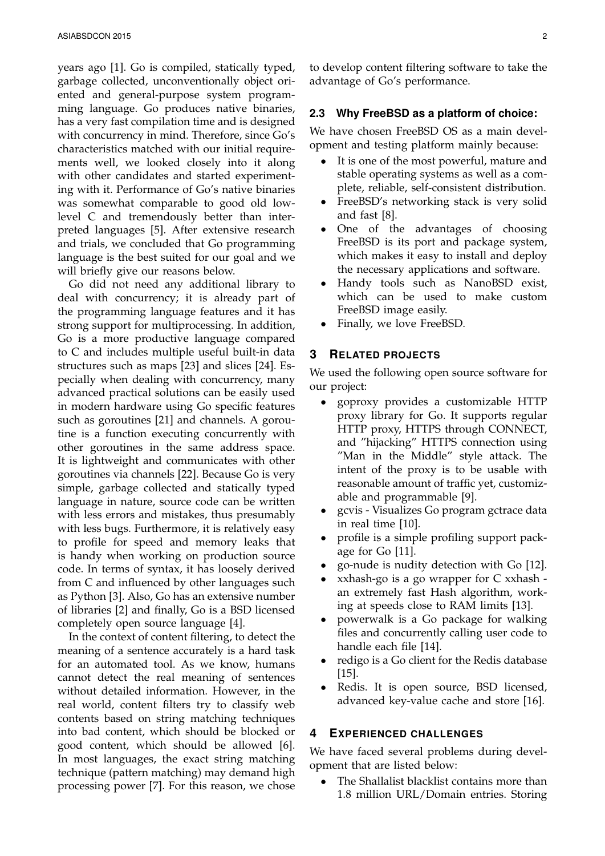years ago [1]. Go is compiled, statically typed, garbage collected, unconventionally object oriented and general-purpose system programming language. Go produces native binaries, has a very fast compilation time and is designed with concurrency in mind. Therefore, since Go's characteristics matched with our initial requirements well, we looked closely into it along with other candidates and started experimenting with it. Performance of Go's native binaries was somewhat comparable to good old lowlevel C and tremendously better than interpreted languages [5]. After extensive research and trials, we concluded that Go programming language is the best suited for our goal and we will briefly give our reasons below.

Go did not need any additional library to deal with concurrency; it is already part of the programming language features and it has strong support for multiprocessing. In addition, Go is a more productive language compared to C and includes multiple useful built-in data structures such as maps [23] and slices [24]. Especially when dealing with concurrency, many advanced practical solutions can be easily used in modern hardware using Go specific features such as goroutines [21] and channels. A goroutine is a function executing concurrently with other goroutines in the same address space. It is lightweight and communicates with other goroutines via channels [22]. Because Go is very simple, garbage collected and statically typed language in nature, source code can be written with less errors and mistakes, thus presumably with less bugs. Furthermore, it is relatively easy to profile for speed and memory leaks that is handy when working on production source code. In terms of syntax, it has loosely derived from C and influenced by other languages such as Python [3]. Also, Go has an extensive number of libraries [2] and finally, Go is a BSD licensed completely open source language [4].

In the context of content filtering, to detect the meaning of a sentence accurately is a hard task for an automated tool. As we know, humans cannot detect the real meaning of sentences without detailed information. However, in the real world, content filters try to classify web contents based on string matching techniques into bad content, which should be blocked or good content, which should be allowed [6]. In most languages, the exact string matching technique (pattern matching) may demand high processing power [7]. For this reason, we chose

to develop content filtering software to take the advantage of Go's performance.

#### **2.3 Why FreeBSD as a platform of choice:**

We have chosen FreeBSD OS as a main development and testing platform mainly because:

- It is one of the most powerful, mature and stable operating systems as well as a complete, reliable, self-consistent distribution.
- FreeBSD's networking stack is very solid and fast [8].
- One of the advantages of choosing FreeBSD is its port and package system, which makes it easy to install and deploy the necessary applications and software.
- Handy tools such as NanoBSD exist, which can be used to make custom FreeBSD image easily.
- Finally, we love FreeBSD.

### **3 RELATED PROJECTS**

We used the following open source software for our project:

- goproxy provides a customizable HTTP proxy library for Go. It supports regular HTTP proxy, HTTPS through CONNECT, and "hijacking" HTTPS connection using "Man in the Middle" style attack. The intent of the proxy is to be usable with reasonable amount of traffic yet, customizable and programmable [9].
- gcvis Visualizes Go program gctrace data in real time [10].
- profile is a simple profiling support package for Go [11].
- go-nude is nudity detection with Go [12].
- xxhash-go is a go wrapper for C xxhash an extremely fast Hash algorithm, working at speeds close to RAM limits [13].
- powerwalk is a Go package for walking files and concurrently calling user code to handle each file [14].
- redigo is a Go client for the Redis database [15].
- Redis. It is open source, BSD licensed, advanced key-value cache and store [16].

### **4 EXPERIENCED CHALLENGES**

We have faced several problems during development that are listed below:

The Shallalist blacklist contains more than 1.8 million URL/Domain entries. Storing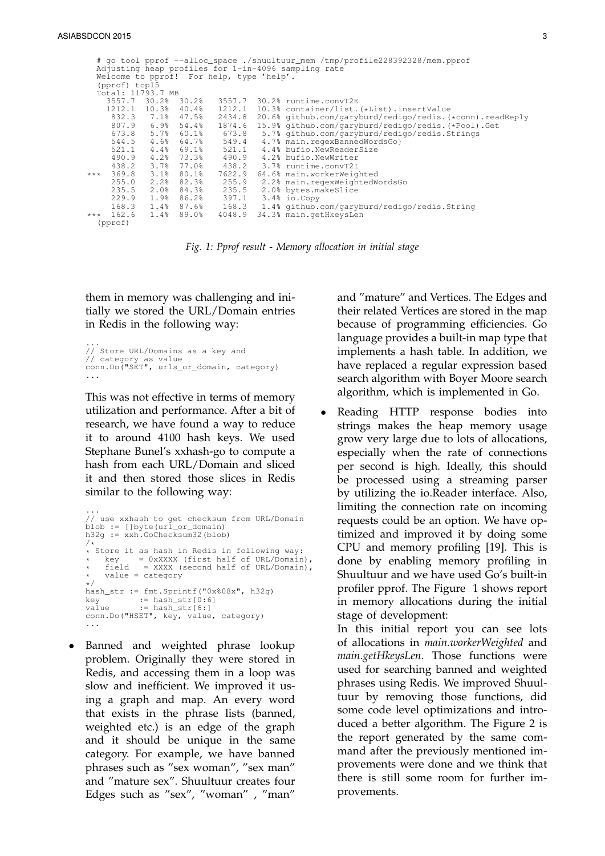| # go tool pprof --alloc_space ./shuultuur_mem /tmp/profile228392328/mem.pprof |                                                     |  |                                                |                              |  |                                                                     |  |  |  |  |  |
|-------------------------------------------------------------------------------|-----------------------------------------------------|--|------------------------------------------------|------------------------------|--|---------------------------------------------------------------------|--|--|--|--|--|
|                                                                               | Adjusting heap profiles for 1-in-4096 sampling rate |  |                                                |                              |  |                                                                     |  |  |  |  |  |
|                                                                               | Welcome to pprof! For help, type 'help'.            |  |                                                |                              |  |                                                                     |  |  |  |  |  |
|                                                                               | (pprof) top15                                       |  |                                                |                              |  |                                                                     |  |  |  |  |  |
|                                                                               | Total: 11793.7 MB                                   |  |                                                |                              |  |                                                                     |  |  |  |  |  |
|                                                                               |                                                     |  | 3557.7 30.2% 30.2%                             |                              |  | $3557.7$ $30.2$ % runtime.convT2E                                   |  |  |  |  |  |
|                                                                               |                                                     |  | $1212.1$ $10.3%$ $40.4%$                       |                              |  | 1212.1 10.3% container/list. (*List). insertValue                   |  |  |  |  |  |
|                                                                               |                                                     |  | $832.3$ $7.1$ <sup>8</sup> $47.5$ <sup>8</sup> |                              |  | 2434.8 20.6% github.com/garyburd/redigo/redis.(*conn).readReply     |  |  |  |  |  |
|                                                                               |                                                     |  | $807.9$ 6.9% 54.4%                             | 1874.6                       |  | 15.9% github.com/garyburd/redigo/redis.(*Pool).Get                  |  |  |  |  |  |
|                                                                               |                                                     |  | $673.8$ 5.7% $60.1$ %                          | 673.8                        |  | 5.7% github.com/garyburd/redigo/redis.Strings                       |  |  |  |  |  |
|                                                                               |                                                     |  |                                                | $544.5$ $4.6$ $64.7$ $549.4$ |  | 4.7% main.regexBannedWordsGo}                                       |  |  |  |  |  |
|                                                                               |                                                     |  |                                                | $521.1$ $4.4$ $69.1$ $521.1$ |  | 4.4% bufio.NewReaderSize                                            |  |  |  |  |  |
|                                                                               | 490.9                                               |  |                                                | 4.2% 73.3% 490.9             |  | 4.2% bufio.NewWriter                                                |  |  |  |  |  |
|                                                                               | 438.2                                               |  |                                                |                              |  | 3.7% 77.0% 438.2 3.7% runtime.convT2I                               |  |  |  |  |  |
| $***$                                                                         | 369.8                                               |  | $3.1%$ 80.1%                                   | 7622.9                       |  | 64.6% main.workerWeighted                                           |  |  |  |  |  |
|                                                                               | 255.0                                               |  | 2.2% 82.3%                                     |                              |  | 255.9 2.2% main.regexWeightedWordsGo                                |  |  |  |  |  |
|                                                                               |                                                     |  |                                                | 235.5 2.0% 84.3% 235.5       |  | 2.0% bytes.makeSlice                                                |  |  |  |  |  |
|                                                                               | 229.9                                               |  |                                                | 1.9% 86.2% 397.1             |  | 3.4% io.Copy                                                        |  |  |  |  |  |
|                                                                               |                                                     |  |                                                |                              |  | 168.3 1.4% 87.6% 168.3 1.4% github.com/garyburd/redigo/redis.String |  |  |  |  |  |
|                                                                               | $***$ 162.6                                         |  | 1.4% 89.0%                                     | 4048.9                       |  | 34.3% main.getHkeysLen                                              |  |  |  |  |  |
|                                                                               | (pprof)                                             |  |                                                |                              |  |                                                                     |  |  |  |  |  |

*Fig. 1: Pprof result - Memory allocation in initial stage*

them in memory was challenging and initially we stored the URL/Domain entries in Redis in the following way:

```
...
// Store URL/Domains as a key and
// category as value
conn.Do("SET", urls_or_domain, category)
...
```
This was not effective in terms of memory utilization and performance. After a bit of research, we have found a way to reduce it to around 4100 hash keys. We used Stephane Bunel's xxhash-go to compute a hash from each URL/Domain and sliced it and then stored those slices in Redis similar to the following way:

```
...
// use xxhash to get checksum from URL/Domain
blob := []byte(url_or_domain)
h32g := xxh.GoChecksum32(blob)
/*
* Store it as hash in Redis in following way:
* key = 0xXXXX (first half of URL/Domain),
* field = XXXX (second half of URL/Domain),
* value = category
*/
hash_str := fmt.Sprintf("0x%08x", h32g)
key := hash_str[0:6]
value := hash_str[6:]
conn.Do("HSET", key, value, category)
...
```
• Banned and weighted phrase lookup problem. Originally they were stored in Redis, and accessing them in a loop was slow and inefficient. We improved it using a graph and map. An every word that exists in the phrase lists (banned, weighted etc.) is an edge of the graph and it should be unique in the same category. For example, we have banned phrases such as "sex woman", "sex man" and "mature sex". Shuultuur creates four Edges such as "sex", "woman" , "man"

and "mature" and Vertices. The Edges and their related Vertices are stored in the map because of programming efficiencies. Go language provides a built-in map type that implements a hash table. In addition, we have replaced a regular expression based search algorithm with Boyer Moore search algorithm, which is implemented in Go.

Reading HTTP response bodies into strings makes the heap memory usage grow very large due to lots of allocations, especially when the rate of connections per second is high. Ideally, this should be processed using a streaming parser by utilizing the io.Reader interface. Also, limiting the connection rate on incoming requests could be an option. We have optimized and improved it by doing some CPU and memory profiling [19]. This is done by enabling memory profiling in Shuultuur and we have used Go's built-in profiler pprof. The Figure 1 shows report in memory allocations during the initial stage of development:

In this initial report you can see lots of allocations in *main.workerWeighted* and *main.getHkeysLen*. Those functions were used for searching banned and weighted phrases using Redis. We improved Shuultuur by removing those functions, did some code level optimizations and introduced a better algorithm. The Figure 2 is the report generated by the same command after the previously mentioned improvements were done and we think that there is still some room for further improvements.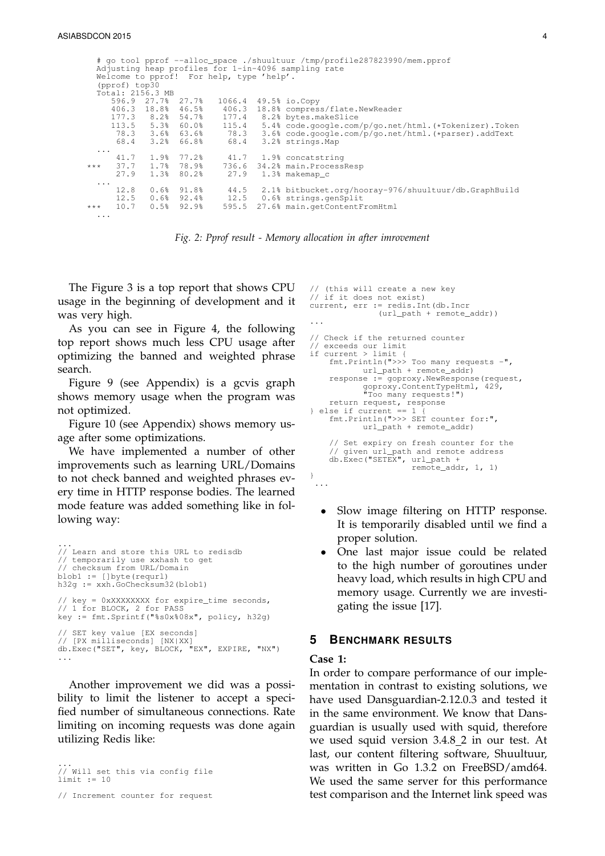# go tool pprof --alloc\_space ./shuultuur /tmp/profile287823990/mem.pprof Adjusting heap profiles for 1-in-4096 sampling rate Welcome to pprof! For help, type 'help'. (pprof) top30 Total: 2156.3 MB 596.9 27.7% 27.7% 1066.4 49.5% io.Copy 406.3 18.8% 46.5% 406.3 18.8% compress/flate.NewReader 177.3 8.2% 54.7% 177.4 8.2% bytes.makeSlice<br>113.5 5.3% 60.0% 115.4 5.4% code.google.com 13.5 5.3% 60.0% 115.4 5.4% code.google.com/p/go.net/html.(\*Tokenizer).Token<br>78.3 3.6% 63.6% 78.3 3.6% code.google.com/p/go.net/html.(\*parser).addText<br>68.4 3.2% 66.8% 68.4 3.2% strings.Map 78.3  $3.6$   $63.6$   $78.3$   $3.6$   $3.6$   $3.6$   $3.2$   $3.6$   $3.2$   $3.2$   $3.2$   $3.2$   $3.2$   $3.2$   $3.2$   $3.2$   $3.2$   $3.2$   $3.2$   $3.2$   $3.2$   $3.2$   $3.2$   $3.2$   $3.2$   $3.2$   $3.2$   $3.2$   $3.2$   $3.2$   $3.2$   $3.2$   $3.2$   $3.2$   $3.2$   $3.2$ 3.6% coue.yougle<br>3.2% strings.Map ... 41.7 1.9% 77.2% 41.7 1.9% concatstring \*\*\* 37.7 1.7% 78.9% 736.6 34.2% main.ProcessResp 1.3% makemap\_c ... 12.8 0.6% 91.8% 44.5 2.1% bitbucket.org/hooray-976/shuultuur/db.GraphBuild<br>12.5 0.6% 92.4% 12.5 0.6% strings.genSplit<br>10.7 0.5% 92.9% 595.5 27.6% main.getContentFromHtml 12.5 0.6% 92.4% 12.5 0.6% strings.genSplit<br>10.7 0.5% 92.9% 595.5 27.6% main.getContentF \*\*\* 10.7 0.5% 92.9% 595.5 27.6% main.getContentFromHtml ...

*Fig. 2: Pprof result - Memory allocation in after imrovement*

The Figure 3 is a top report that shows CPU usage in the beginning of development and it was very high.

As you can see in Figure 4, the following top report shows much less CPU usage after optimizing the banned and weighted phrase search.

Figure 9 (see Appendix) is a gcvis graph shows memory usage when the program was not optimized.

Figure 10 (see Appendix) shows memory usage after some optimizations.

We have implemented a number of other improvements such as learning URL/Domains to not check banned and weighted phrases every time in HTTP response bodies. The learned mode feature was added something like in following way:

... // Learn and store this URL to redisdb // temporarily use xxhash to get // checksum from URL/Domain blob1 := []byte(requrl) h32g := xxh.GoChecksum32(blob1) // key = 0xXXXXXXXX for expire\_time seconds, // 1 for BLOCK, 2 for PASS key := fmt.Sprintf("%s0x%08x", policy, h32g) // SET key value [EX seconds] // [PX milliseconds] [NX|XX] db.Exec("SET", key, BLOCK, "EX", EXPIRE, "NX") ...

Another improvement we did was a possibility to limit the listener to accept a specified number of simultaneous connections. Rate limiting on incoming requests was done again utilizing Redis like:

... // Will set this via config file limit := 10 // Increment counter for request

```
// (this will create a new key
// if it does not exist)
current, err := redis.Int(db.Incr
                 (url_path + remote_addr))
...
// Check if the returned counter
// exceeds our limit
if current > limit {
     fmt.Println(">>> Too many requests -",
             url_path + remote_addr)
     response := goproxy.NewResponse(request,
              goproxy.ContentTypeHtml, 429,
"Too many requests!")
return request, response
} else if current == 1 {
    fmt.Println(">>> SET counter for:",
             url_path + remote_addr)
     // Set expiry on fresh counter for the
// given url_path and remote address
     db.Exec("SETEX", url_path +
                          remote_addr, 1, 1)
}
 ...
```
- Slow image filtering on HTTP response. It is temporarily disabled until we find a proper solution.
- One last major issue could be related to the high number of goroutines under heavy load, which results in high CPU and memory usage. Currently we are investigating the issue [17].

### **5 BENCHMARK RESULTS**

#### **Case 1:**

In order to compare performance of our implementation in contrast to existing solutions, we have used Dansguardian-2.12.0.3 and tested it in the same environment. We know that Dansguardian is usually used with squid, therefore we used squid version 3.4.8 2 in our test. At last, our content filtering software, Shuultuur, was written in Go 1.3.2 on FreeBSD/amd64. We used the same server for this performance test comparison and the Internet link speed was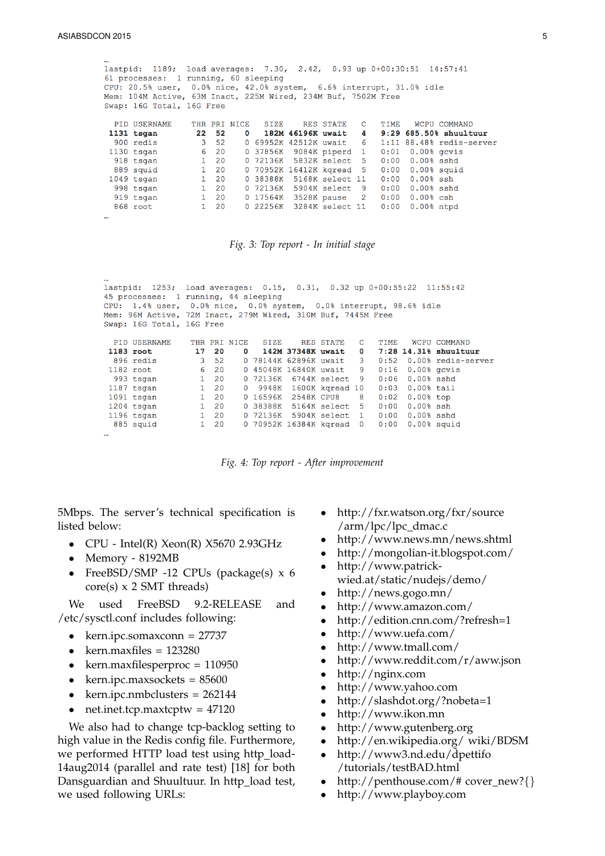998 tsgan 919 tsgan 868 root

lastpid: 1189; load averages: 7.30, 2.42, 0.93 up 0+00:30:51 14:57:41 61 processes: 1 running, 60 sleeping CPU: 20.5% user, 0.0% nice, 42.0% system, 6.6% interrupt, 31.0% idle<br>Mem: 104M Active, 63M Inact, 225M Wired, 234M Buf, 7502M Free Swap: 16G Total, 16G Free THR PRI NICE SIZE RES STATE C TIME PTD USERNAME WCPU COMMAND 22 52 0 182M 46196K uwait 4 9:29 685.50% shuultuur<br>3 52 0 69952K 42512K uwait 6 1:11 88.48% redis-server 1131 tsgan 900 redis 1:11 88.48% redis-server 6 20 0 37856K 9084K piperd 1 0:01 0.00% gcvis<br>1 20 0 72136K 5832K select 5 0:00 0.00% sshd<br>1 20 0 70952K 16412K kgread 5 0:00 0.00% sguid 1130 tsgan 918 tsgan 889 squid 1 20 0 38388K 5168K select 11 0:00 0.00% ssh<br>1 20 0 72136K 5904K select 9 0:00 0.00% ssh<br>1 20 0 17564K 3528K pause 2 0:00 0.00% csh<br>1 20 0 22256K 3284K select 11 0:00 0.00% ntpd 1049 tsgan

*Fig. 3: Top report - In initial stage*

| lastpid: 1253; load averages: 0.15, 0.31, 0.32 up 0+00:55:22 11:55:42<br>45 processes: 1 running, 44 sleeping<br>CPU: 1.4% user, 0.0% nice, 0.0% system, 0.0% interrupt, 98.6% idle<br>Mem: 96M Active, 72M Inact, 279M Wired, 310M Buf, 7445M Free<br>Swap: 16G Total, 16G Free |             |              |                          |                   |           |              |      |                                 |                           |  |
|----------------------------------------------------------------------------------------------------------------------------------------------------------------------------------------------------------------------------------------------------------------------------------|-------------|--------------|--------------------------|-------------------|-----------|--------------|------|---------------------------------|---------------------------|--|
| PID USERNAME                                                                                                                                                                                                                                                                     |             | THR PRI NICE | SIZE                     |                   | RES STATE | C            | TIME |                                 | WCPU COMMAND              |  |
| $1183$ root                                                                                                                                                                                                                                                                      | 17 20       | $\mathbf{0}$ |                          | 142M 37348K uwait |           | $\mathbf{0}$ |      |                                 | $7:28$ 14.31% shuultuur   |  |
| 896 redis                                                                                                                                                                                                                                                                        | 3 52        |              | 0 78144K 62896K uwait 3  |                   |           |              |      |                                 | $0:52$ 0.00% redis-server |  |
| $1182$ root                                                                                                                                                                                                                                                                      | 6 20        |              | 0 45048K 16840K uwait    |                   |           | 9            |      | $0:16$ $0.00%$ gcvis            |                           |  |
| 993 tsgan                                                                                                                                                                                                                                                                        | $1\quad 20$ |              | 0 72136K 6744K select 9  |                   |           |              |      | $0:06$ $0.00$ <sup>8</sup> sshd |                           |  |
| 1187 tsgan                                                                                                                                                                                                                                                                       | 1 20        |              | 0 9948K 1600K kgread 10  |                   |           |              |      | $0:03$ 0.00% tail               |                           |  |
| 1091 tsgan                                                                                                                                                                                                                                                                       | 1 20        |              | 0 16596K 2548K CPU8      |                   |           | 8            | 0:02 | $0.00$ % top                    |                           |  |
| 1204 tsgan                                                                                                                                                                                                                                                                       | $1\quad 20$ |              | 0 38388K 5164K select 5  |                   |           |              | 0:00 | $0.00%$ ssh                     |                           |  |
| 1196 tsgan                                                                                                                                                                                                                                                                       | $1\quad 20$ |              | 0 72136K 5904K select 1  |                   |           |              |      | $0:00$ $0.00$ sshd              |                           |  |
| 885 squid                                                                                                                                                                                                                                                                        | 1 20        |              | 0 70952K 16384K kgread 0 |                   |           |              | 0:00 | $0.00$ % squid                  |                           |  |
|                                                                                                                                                                                                                                                                                  |             |              |                          |                   |           |              |      |                                 |                           |  |

*Fig. 4: Top report - After improvement*

5Mbps. The server's technical specification is listed below:

- CPU Intel(R) Xeon(R) X5670 2.93GHz
- Memory 8192MB
- FreeBSD/SMP -12 CPUs (package(s) x 6 core(s) x 2 SMT threads)

We used FreeBSD 9.2-RELEASE and /etc/sysctl.conf includes following:

- kern.ipc.somaxconn =  $27737$
- kern.maxfiles = 123280
- kern.maxfilesperproc = 110950
- kern.ipc.maxsockets  $= 85600$
- kern.ipc.nmbclusters = 262144
- net.inet.tcp.maxtcptw =  $47120$

We also had to change tcp-backlog setting to high value in the Redis config file. Furthermore, we performed HTTP load test using http load-14aug2014 (parallel and rate test) [18] for both Dansguardian and Shuultuur. In http\_load test, we used following URLs:

- http://fxr.watson.org/fxr/source /arm/lpc/lpc\_dmac.c
- http://www.news.mn/news.shtml
- http://mongolian-it.blogspot.com/
- http://www.patrickwied.at/static/nudejs/demo/
- http://news.gogo.mn/
- http://www.amazon.com/
- http://edition.cnn.com/?refresh=1
- http://www.uefa.com/
- http://www.tmall.com/
- http://www.reddit.com/r/aww.json
- http://nginx.com
- http://www.yahoo.com
- http://slashdot.org/?nobeta=1
- http://www.ikon.mn
- http://www.gutenberg.org
- http://en.wikipedia.org/ wiki/BDSM
- http://www3.nd.edu/ $\tilde{d}$ pettifo /tutorials/testBAD.html
- http://penthouse.com/# cover\_new? $\{\}$
- http://www.playboy.com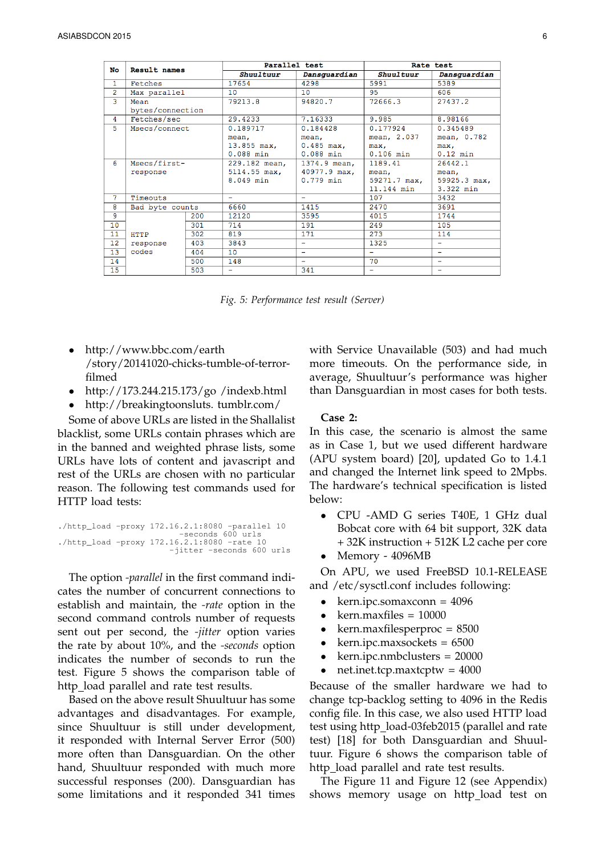| No             | Result names     |     | Parallel test            |                                 | Rate test                |                          |  |  |
|----------------|------------------|-----|--------------------------|---------------------------------|--------------------------|--------------------------|--|--|
|                |                  |     | Shuultuur                | Dansguardian                    | <b>Shuultuur</b>         | Dansguardian             |  |  |
| $\mathbf{1}$   | Fetches          |     | 17654                    | 4298                            | 5991                     | 5389                     |  |  |
| 2              | Max parallel     |     | 10 <sup>°</sup>          | 10 <sup>°</sup>                 | 95                       | 606                      |  |  |
| $\overline{3}$ | Mean             |     | 79213.8                  | 94820.7                         | 72666.3                  | 27437.2                  |  |  |
|                | bytes/connection |     |                          |                                 |                          |                          |  |  |
| 4              | Fetches/sec      |     | 29.4233                  | 7.16333                         | 9.985                    | 8.98166                  |  |  |
| 5              | Msecs/connect    |     | 0.189717                 | 0.184428                        | 0.177924                 | 0.345489                 |  |  |
|                |                  |     | mean,                    | mean,                           | mean, 2.037              | mean, 0.782              |  |  |
|                |                  |     | 13.855 max,              | $0.485$ max,                    | max,                     | max,                     |  |  |
|                |                  |     | $0.088$ min              | $0.106$ min<br>$0.088$ min      |                          |                          |  |  |
| 6              | Msecs/first-     |     | 229.182 mean,            | 1374.9 mean,                    | 1189.41                  | 26442.1                  |  |  |
|                | response         |     | $5114.55$ max,           | $40977.9$ max,                  | mean,<br>mean,           |                          |  |  |
|                |                  |     | 8.049 min                | $0.779$ min                     | 59271.7 max,             | 59925.3 max,             |  |  |
|                |                  |     |                          |                                 | 11.144 min               | 3.322 min                |  |  |
| 7              | Timeouts         |     | $\overline{\phantom{0}}$ | $\sim$                          | 107                      | 3432                     |  |  |
| 8              | Bad byte counts  |     | 6660                     | 1415                            | 2470                     | 3691                     |  |  |
| $\overline{9}$ | 200              |     | 12120                    | 3595                            | 4015                     | 1744                     |  |  |
| 10             | 301              |     | 714                      | 191                             | 249                      | 105                      |  |  |
| 11             | <b>HTTP</b>      | 302 | 819                      | 171                             | 273                      | 114                      |  |  |
| 12             | response         | 403 |                          | $\overline{\phantom{0}}$        | 1325                     | $\overline{\phantom{0}}$ |  |  |
| 13             | codes            | 404 | 10 <sup>°</sup>          | $\overline{\phantom{0}}$        | $\overline{\phantom{0}}$ | $\overline{\phantom{0}}$ |  |  |
| 14             |                  | 500 | 148                      | $\equiv$                        | 70                       | $\overline{\phantom{0}}$ |  |  |
| 15             |                  | 503 | Ξ.                       | 341<br>$\overline{\phantom{0}}$ |                          |                          |  |  |

*Fig. 5: Performance test result (Server)*

- http://www.bbc.com/earth /story/20141020-chicks-tumble-of-terrorfilmed
- http://173.244.215.173/go /indexb.html
- http://breakingtoonsluts. tumblr.com/

Some of above URLs are listed in the Shallalist blacklist, some URLs contain phrases which are in the banned and weighted phrase lists, some URLs have lots of content and javascript and rest of the URLs are chosen with no particular reason. The following test commands used for HTTP load tests:

```
./http_load -proxy 172.16.2.1:8080 -parallel 10
                        -seconds 600 urls
./http_load -proxy 172.16.2.1:8080 -rate 10
                       -jitter -seconds 600 urls
```
The option *-parallel* in the first command indicates the number of concurrent connections to establish and maintain, the *-rate* option in the second command controls number of requests sent out per second, the *-jitter* option varies the rate by about 10%, and the *-seconds* option indicates the number of seconds to run the test. Figure 5 shows the comparison table of http load parallel and rate test results.

Based on the above result Shuultuur has some advantages and disadvantages. For example, since Shuultuur is still under development, it responded with Internal Server Error (500) more often than Dansguardian. On the other hand, Shuultuur responded with much more successful responses (200). Dansguardian has some limitations and it responded 341 times with Service Unavailable (503) and had much more timeouts. On the performance side, in average, Shuultuur's performance was higher than Dansguardian in most cases for both tests.

### **Case 2:**

In this case, the scenario is almost the same as in Case 1, but we used different hardware (APU system board) [20], updated Go to 1.4.1 and changed the Internet link speed to 2Mpbs. The hardware's technical specification is listed below:

- CPU -AMD G series T40E, 1 GHz dual Bobcat core with 64 bit support, 32K data + 32K instruction + 512K L2 cache per core
- Memory 4096MB

On APU, we used FreeBSD 10.1-RELEASE and /etc/sysctl.conf includes following:

- kern.ipc.somaxconn =  $4096$
- $kern.maxfiles = 10000$
- kern.maxfilesperproc  $= 8500$
- kern.ipc.maxsockets = 6500
- kern.ipc.nmbclusters = 20000
- net.inet.tcp.maxtcpt $w = 4000$

Because of the smaller hardware we had to change tcp-backlog setting to 4096 in the Redis config file. In this case, we also used HTTP load test using http load-03feb2015 (parallel and rate test) [18] for both Dansguardian and Shuultuur. Figure 6 shows the comparison table of http\_load parallel and rate test results.

The Figure 11 and Figure 12 (see Appendix) shows memory usage on http\_load test on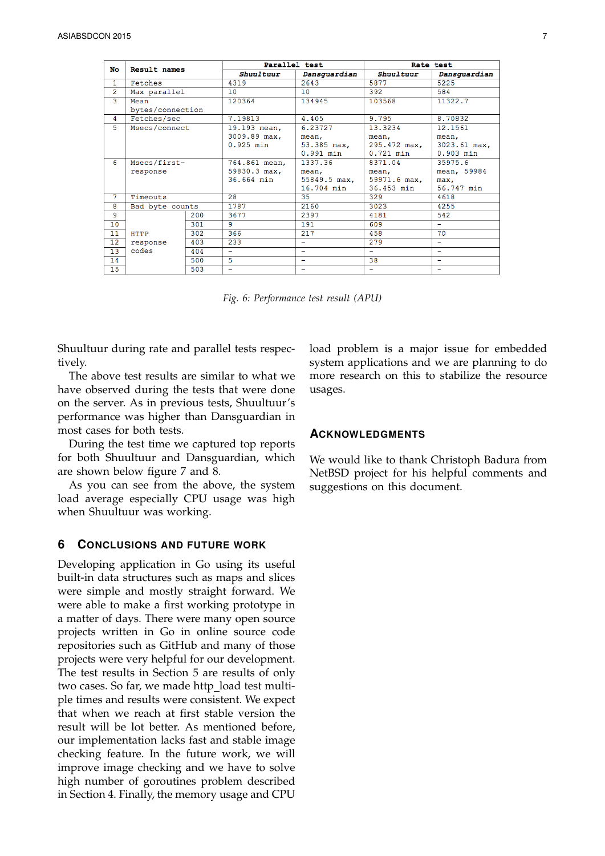| No                | Result names     |     | Parallel test   |                          | Rate test        |                          |  |  |
|-------------------|------------------|-----|-----------------|--------------------------|------------------|--------------------------|--|--|
|                   |                  |     | Shuultuur       | Dansguardian             | <b>Shuultuur</b> | Dansguardian             |  |  |
| $\mathbf{1}$      | Fetches          |     | 4319            | 2643                     | 5877             | 5225                     |  |  |
| $\overline{2}$    | Max parallel     |     | 10 <sup>°</sup> | 10                       | 392              | 584                      |  |  |
| $\overline{3}$    | Mean             |     | 120364          | 134945                   | 103568           | 11322.7                  |  |  |
|                   | bytes/connection |     |                 |                          |                  |                          |  |  |
| 4                 | Fetches/sec      |     | 7.19813         | 4.405                    | 9.795            | 8,70832                  |  |  |
| 5                 | Msecs/connect    |     | 19.193 mean,    | 6.23727                  | 13.3234          | 12.1561                  |  |  |
|                   |                  |     | 3009.89 max,    | mean,                    | mean,            | mean,                    |  |  |
|                   |                  |     | $0.925$ min     | 53.385 max,              | 295.472 max,     | $3023.61$ max,           |  |  |
|                   |                  |     |                 | $0.991$ min              | $0.721$ min      | $0.903$ min              |  |  |
| 6                 | Msecs/first-     |     | 764.861 mean,   | 1337.36                  | 8371.04          | 35975.6                  |  |  |
|                   | response         |     | 59830.3 max,    | mean,                    | mean.            | mean, 59984              |  |  |
|                   |                  |     | 36.664 min      | 55849.5 max,             | 59971.6 max,     | max,                     |  |  |
|                   |                  |     |                 | 16.704 min               | 36.453 min       | 56.747 min               |  |  |
| 7                 | Timeouts         |     | 28              | 35                       | 329              | 4618                     |  |  |
| 8                 | Bad byte counts  |     | 1787            | 2160                     | 3023             | 4255                     |  |  |
| 9                 | 200              |     | 3677            | 2397                     | 4181             | 542                      |  |  |
| 10                | 301              |     | 9               | 191                      | 609              | $\equiv$                 |  |  |
| 11                | <b>HTTP</b>      | 302 | 366             | 217                      | 458              | 70                       |  |  |
| $12 \overline{ }$ | response         | 403 | 233             | $\overline{\phantom{0}}$ | 279              | $\overline{\phantom{0}}$ |  |  |
| 13                | codes            | 404 | $\equiv$        | $\overline{\phantom{0}}$ | ۳                | $\overline{\phantom{0}}$ |  |  |
| 14                |                  | 500 | 5 <sup>2</sup>  | $\overline{\phantom{0}}$ | 38               | $\equiv$                 |  |  |
| 15                |                  | 503 | ÷               | $\equiv$                 | -                | $\equiv$                 |  |  |

*Fig. 6: Performance test result (APU)*

Shuultuur during rate and parallel tests respectively.

The above test results are similar to what we have observed during the tests that were done on the server. As in previous tests, Shuultuur's performance was higher than Dansguardian in most cases for both tests.

During the test time we captured top reports for both Shuultuur and Dansguardian, which are shown below figure 7 and 8.

As you can see from the above, the system load average especially CPU usage was high when Shuultuur was working.

#### **6 CONCLUSIONS AND FUTURE WORK**

Developing application in Go using its useful built-in data structures such as maps and slices were simple and mostly straight forward. We were able to make a first working prototype in a matter of days. There were many open source projects written in Go in online source code repositories such as GitHub and many of those projects were very helpful for our development. The test results in Section 5 are results of only two cases. So far, we made http load test multiple times and results were consistent. We expect that when we reach at first stable version the result will be lot better. As mentioned before, our implementation lacks fast and stable image checking feature. In the future work, we will improve image checking and we have to solve high number of goroutines problem described in Section 4. Finally, the memory usage and CPU

load problem is a major issue for embedded system applications and we are planning to do more research on this to stabilize the resource usages.

#### **ACKNOWLEDGMENTS**

We would like to thank Christoph Badura from NetBSD project for his helpful comments and suggestions on this document.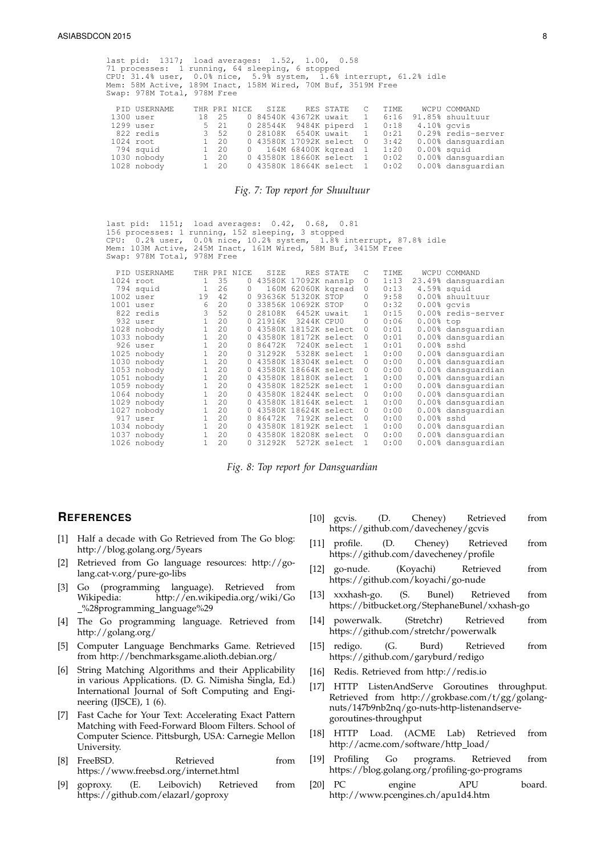last pid: 1317; load averages: 1.52, 1.00, 0.58<br>71 processes: 1 running, 64 sleeping, 6 stopped<br>CPU: 31.4% user, 0.0% nice, 5.9% system, 1.6% interrupt, 61.2% idle<br>Mem: 58M Active, 189M Inact, 158M Wired, 70M Buf, 3519M Fr

| PID USERNAME |              | THR PRI NICE | SIZE                     | RES STATE |              | TIME | WCPU COMMAND            |
|--------------|--------------|--------------|--------------------------|-----------|--------------|------|-------------------------|
| 1300 user    | 18 25        |              | 0 84540K 43672K uwait    |           |              |      | $6:16$ 91.85% shuultuur |
| 1299 user    | 5 21         |              | 0 28544K 9484K piperd    |           | $\mathbf{1}$ | 0:18 | $4.10%$ qcvis           |
| 822 redis    | 3, 52        |              | 0 28108K 6540K uwait     |           |              | 0:21 | 0.29% redis-server      |
| $1024$ root  | $1\quad 20$  |              | 0 43580K 17092K select 0 |           |              | 3:42 | 0.00% dansquardian      |
| 794 squid    | $1 \quad 20$ |              | 0 164M 68400K kgread 1   |           |              | 1:20 | $0.00$ % squid          |
| 1030 nobody  | $1\quad 20$  |              | 0 43580K 18660K select   |           |              | 0:02 | 0.00% dansquardian      |
| 1028 nobody  | $1\quad 20$  |              | 0 43580K 18664K select 1 |           |              | 0:02 | 0.00% dansquardian      |

*Fig. 7: Top report for Shuultuur*

last pid: 1151; load averages: 0.42, 0.68, 0.81<br>156 processes: 1 running, 152 sleeping, 3 stopped<br>CPU: 0.2% user, 0.0% nice, 10.2% system, 1.8% interrupt, 87.8% idle<br>Mem: 103M Active, 245M Inact, 161M Wired, 58M Buf, 3415M Swap: 978M Total, 978M Free

|           | PID USERNAME |              |    | THR PRI NICE | SIZE     |                      | RES STATE    | C  | TIME |                | WCPU COMMAND        |
|-----------|--------------|--------------|----|--------------|----------|----------------------|--------------|----|------|----------------|---------------------|
| 1024 root |              | $\mathbf{1}$ | 35 | 0            |          | 43580K 17092K nanslp |              | 0  | 1:13 |                | 23.49% dansquardian |
|           | 794 squid    | 1            | 26 | $\Omega$     |          | 160M 62060K kgread   |              | 0  | 0:13 |                | 4.59% squid         |
|           | 1002 user    | 19           | 42 | $\Omega$     |          | 93636K 51320K STOP   |              | 0  | 9:58 |                | 0.00% shuultuur     |
|           | 1001 user    | 6            | 20 | 0            |          | 33856K 10692K STOP   |              | 0  | 0:32 | $0.00$ % qcvis |                     |
|           | 822 redis    | 3            | 52 |              | 28108K   | 6452K uwait          |              | 1  | 0:15 |                | 0.00% redis-server  |
|           | 932 user     | $\mathbf{1}$ | 20 |              | 0 21916K | 3244K CPU0           |              | 0  | 0:06 | $0.00%$ top    |                     |
|           | 1028 nobody  | $\mathbf{1}$ | 20 | $\Omega$     |          | 43580K 18152K select |              | 0  | 0:01 |                | 0.00% dansquardian  |
|           | 1033 nobody  | $\mathbf{1}$ | 20 | 0            |          | 43580K 18172K select |              | 0  | 0:01 |                | 0.00% dansquardian  |
|           | 926 user     | $\mathbf{1}$ | 20 |              | 86472K   |                      | 7240K select | 1. | 0:01 | $0.00$ % sshd  |                     |
|           | 1025 nobody  | $\mathbf{1}$ | 20 | $\Omega$     | 31292K   |                      | 5328K select | 1. | 0:00 |                | 0.00% dansquardian  |
|           | 1030 nobody  | $\mathbf{1}$ | 20 | $\Omega$     |          | 43580K 18304K select |              | 0  | 0:00 |                | 0.00% dansquardian  |
|           | 1053 nobody  | $\mathbf{1}$ | 20 |              |          | 43580K 18664K select |              | 0  | 0:00 |                | 0.00% dansquardian  |
|           | 1051 nobody  | $\mathbf{1}$ | 20 | 0            |          | 43580K 18180K select |              | 1  | 0:00 |                | 0.00% dansquardian  |
|           | 1059 nobody  | $\mathbf{1}$ | 20 | $\Omega$     |          | 43580K 18252K select |              | 1. | 0:00 |                | 0.00% dansquardian  |
|           | 1064 nobody  | $\mathbf{1}$ | 20 | $\Omega$     |          | 43580K 18244K select |              | 0  | 0:00 |                | 0.00% dansquardian  |
|           | 1029 nobody  | $\mathbf{1}$ | 20 |              |          | 43580K 18164K select |              | 1. | 0:00 |                | 0.00% dansquardian  |
|           | 1027 nobody  | 1.           | 20 | $\Omega$     |          | 43580K 18624K select |              | 0  | 0:00 |                | 0.00% dansquardian  |
|           | 917 user     | $\mathbf{1}$ | 20 | $\Omega$     | 86472K   |                      | 7192K select | 0  | 0:00 | $0.00$ % sshd  |                     |
|           | 1034 nobody  | $\mathbf{1}$ | 20 |              |          | 43580K 18192K select |              | 1  | 0:00 |                | 0.00% dansquardian  |
|           | 1037 nobody  | $\mathbf{1}$ | 20 | 0            |          | 43580K 18208K select |              | 0  | 0:00 |                | 0.00% dansquardian  |
|           | 1026 nobody  | 1            | 20 |              | 0 31292K |                      | 5272K select | 1  | 0:00 |                | 0.00% dansquardian  |

*Fig. 8: Top report for Dansguardian*

### **REFERENCES**

- [1] Half a decade with Go Retrieved from The Go blog: http://blog.golang.org/5years
- [2] Retrieved from Go language resources: http://golang.cat-v.org/pure-go-libs
- [3] Go (programming language). Retrieved from Wikipedia: http://en.wikipedia.org/wiki/Go %28programming language%29
- [4] The Go programming language. Retrieved from http://golang.org/
- [5] Computer Language Benchmarks Game. Retrieved from http://benchmarksgame.alioth.debian.org/
- [6] String Matching Algorithms and their Applicability in various Applications. (D. G. Nimisha Singla, Ed.) International Journal of Soft Computing and Engineering (IJSCE), 1 (6).
- [7] Fast Cache for Your Text: Accelerating Exact Pattern Matching with Feed-Forward Bloom Filters. School of Computer Science. Pittsburgh, USA: Carnegie Mellon University.
- [8] FreeBSD. Retrieved from https://www.freebsd.org/internet.html
- [9] goproxy. (E. Leibovich) Retrieved from https://github.com/elazarl/goproxy
- [10] gcvis. (D. Cheney) Retrieved from https://github.com/davecheney/gcvis
- [11] profile. (D. Cheney) Retrieved from https://github.com/davecheney/profile
- [12] go-nude. (Koyachi) Retrieved from https://github.com/koyachi/go-nude
- [13] xxxhash-go. (S. Bunel) Retrieved from https://bitbucket.org/StephaneBunel/xxhash-go
- [14] powerwalk. (Stretchr) Retrieved from https://github.com/stretchr/powerwalk
- [15] redigo. (G. Burd) Retrieved from https://github.com/garyburd/redigo
- [16] Redis. Retrieved from http://redis.io
- [17] HTTP ListenAndServe Goroutines throughput. Retrieved from http://grokbase.com/t/gg/golangnuts/147b9nb2nq/go-nuts-http-listenandservegoroutines-throughput
- [18] HTTP Load. (ACME Lab) Retrieved from http://acme.com/software/http load/
- [19] Profiling Go programs. Retrieved from https://blog.golang.org/profiling-go-programs
- [20] PC engine APU board. http://www.pcengines.ch/apu1d4.htm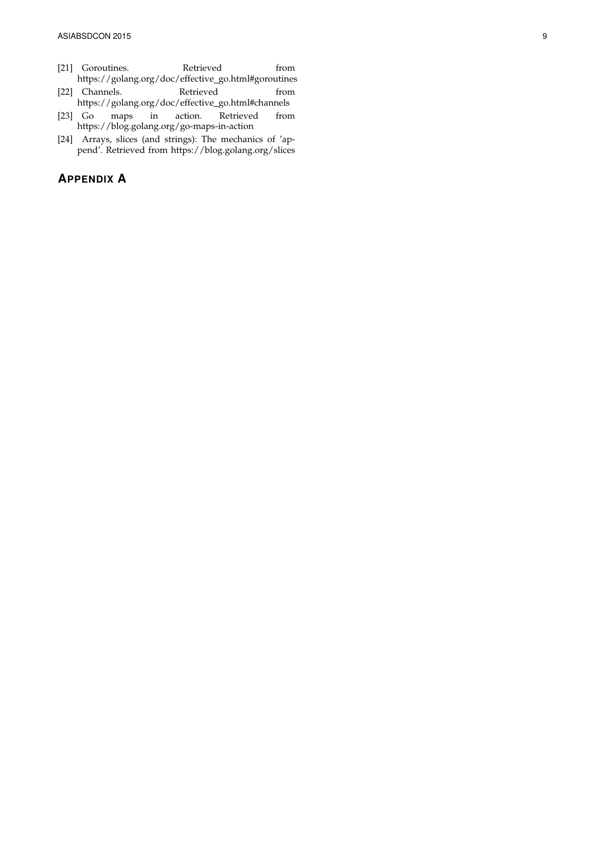- [21] Goroutines. Retrieved from https://golang.org/doc/effective go.html#goroutines
- [22] Channels. Retrieved from https://golang.org/doc/effective go.html#channels
- [23] Go maps in action. Retrieved from https://blog.golang.org/go-maps-in-action
- [24] Arrays, slices (and strings): The mechanics of 'append'. Retrieved from https://blog.golang.org/slices

## **APPENDIX A**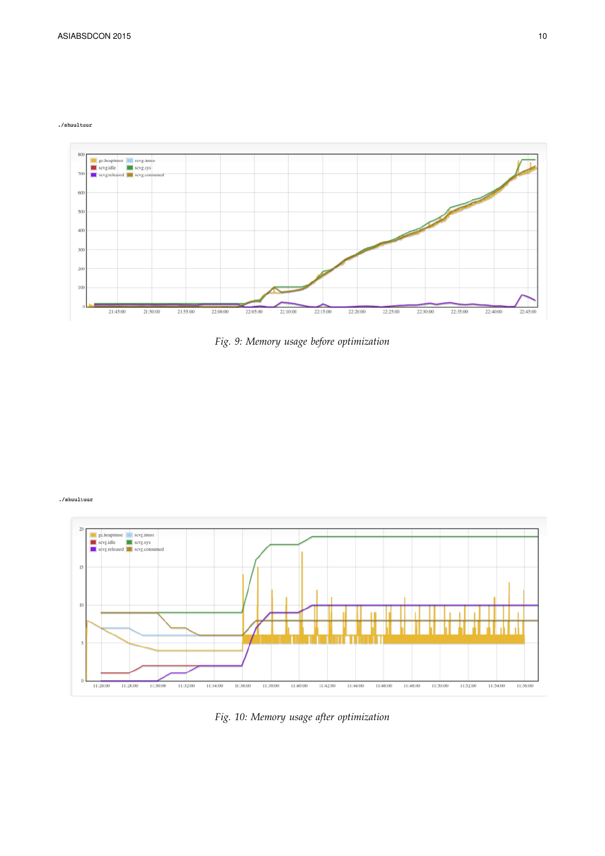./shuultuur



*Fig. 9: Memory usage before optimization*

./shuultuur



*Fig. 10: Memory usage after optimization*